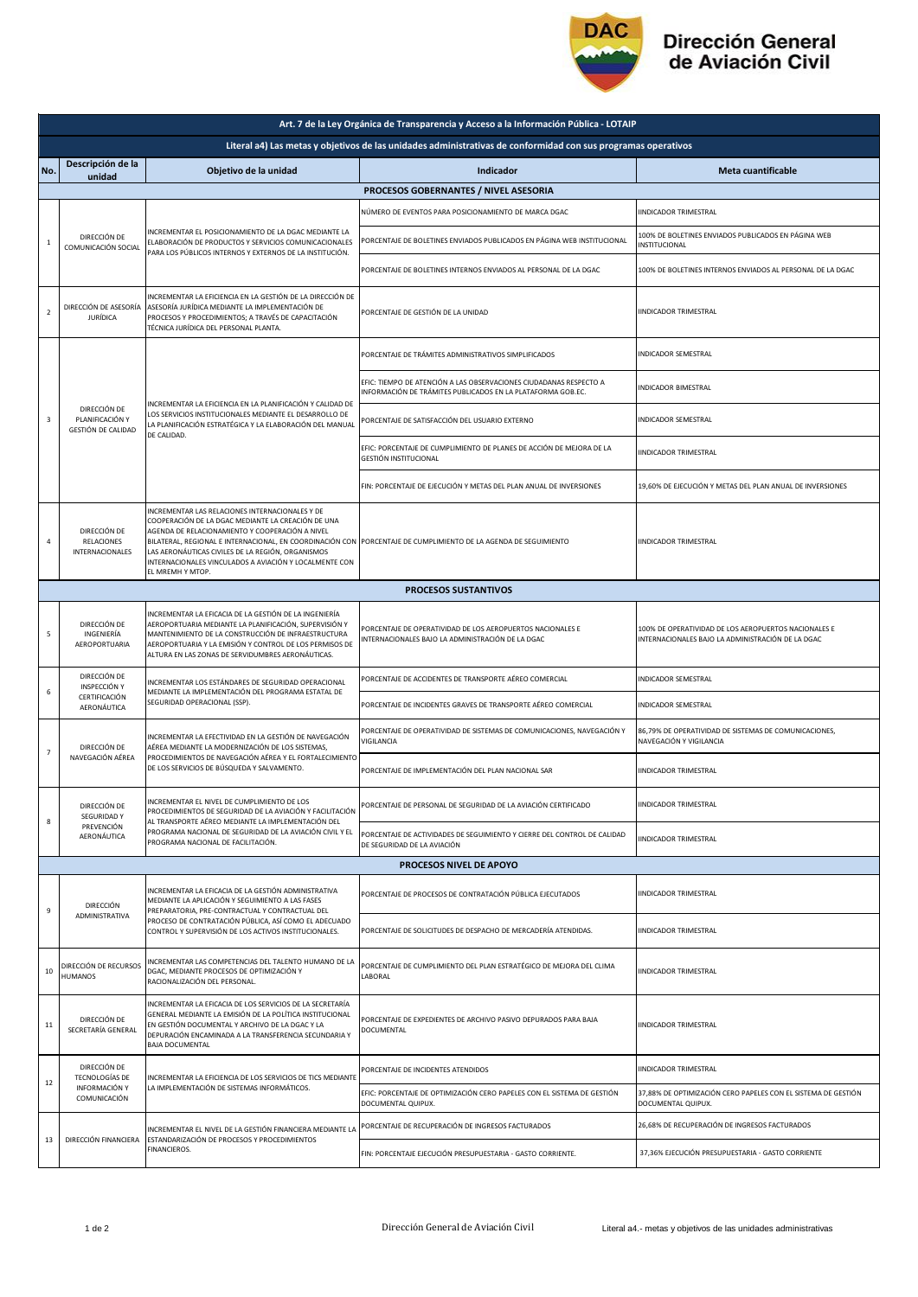

## Dirección General<br>de Aviación Civil

| Art. 7 de la Ley Orgánica de Transparencia y Acceso a la Información Pública - LOTAIP                         |                                                                        |                                                                                                                                                                                                                                                                                                                                                                                                                |                                                                                                                                   |                                                                                                           |  |  |  |  |
|---------------------------------------------------------------------------------------------------------------|------------------------------------------------------------------------|----------------------------------------------------------------------------------------------------------------------------------------------------------------------------------------------------------------------------------------------------------------------------------------------------------------------------------------------------------------------------------------------------------------|-----------------------------------------------------------------------------------------------------------------------------------|-----------------------------------------------------------------------------------------------------------|--|--|--|--|
| Literal a4) Las metas y objetivos de las unidades administrativas de conformidad con sus programas operativos |                                                                        |                                                                                                                                                                                                                                                                                                                                                                                                                |                                                                                                                                   |                                                                                                           |  |  |  |  |
| No.                                                                                                           | Descripción de la<br>unidad                                            | Objetivo de la unidad                                                                                                                                                                                                                                                                                                                                                                                          | Indicador                                                                                                                         | Meta cuantificable                                                                                        |  |  |  |  |
| PROCESOS GOBERNANTES / NIVEL ASESORIA                                                                         |                                                                        |                                                                                                                                                                                                                                                                                                                                                                                                                |                                                                                                                                   |                                                                                                           |  |  |  |  |
| $\mathbf{1}$                                                                                                  | DIRECCIÓN DE<br>COMUNICACIÓN SOCIAL                                    | INCREMENTAR EL POSICIONAMIENTO DE LA DGAC MEDIANTE LA<br>ELABORACIÓN DE PRODUCTOS Y SERVICIOS COMUNICACIONALES<br>PARA LOS PÚBLICOS INTERNOS Y EXTERNOS DE LA INSTITUCIÓN.                                                                                                                                                                                                                                     | NÚMERO DE EVENTOS PARA POSICIONAMIENTO DE MARCA DGAC                                                                              | <b>IINDICADOR TRIMESTRAL</b>                                                                              |  |  |  |  |
|                                                                                                               |                                                                        |                                                                                                                                                                                                                                                                                                                                                                                                                | PORCENTAJE DE BOLETINES ENVIADOS PUBLICADOS EN PÁGINA WEB INSTITUCIONAL                                                           | 100% DE BOLETINES ENVIADOS PUBLICADOS EN PÁGINA WEB<br>INSTITUCIONAL                                      |  |  |  |  |
|                                                                                                               |                                                                        |                                                                                                                                                                                                                                                                                                                                                                                                                | PORCENTAJE DE BOLETINES INTERNOS ENVIADOS AL PERSONAL DE LA DGAC                                                                  | 100% DE BOLETINES INTERNOS ENVIADOS AL PERSONAL DE LA DGAC                                                |  |  |  |  |
| $\overline{2}$                                                                                                | DIRECCIÓN DE ASESORÍA<br><b>JURÍDICA</b>                               | INCREMENTAR LA EFICIENCIA EN LA GESTIÓN DE LA DIRECCIÓN DE<br>ASESORÍA JURÍDICA MEDIANTE LA IMPLEMENTACIÓN DE<br>PROCESOS Y PROCEDIMIENTOS; A TRAVÉS DE CAPACITACIÓN<br>TÉCNICA JURÍDICA DEL PERSONAL PLANTA.                                                                                                                                                                                                  | PORCENTAJE DE GESTIÓN DE LA UNIDAD                                                                                                | <b>IINDICADOR TRIMESTRAL</b>                                                                              |  |  |  |  |
|                                                                                                               | DIRECCIÓN DE<br>PLANIFICACIÓN Y<br>GESTIÓN DE CALIDAD                  | INCREMENTAR LA EFICIENCIA EN LA PLANIFICACIÓN Y CALIDAD DE<br>LOS SERVICIOS INSTITUCIONALES MEDIANTE EL DESARROLLO DE<br>LA PLANIFICACIÓN ESTRATÉGICA Y LA ELABORACIÓN DEL MANUAL<br>DE CALIDAD.                                                                                                                                                                                                               | PORCENTAJE DE TRÁMITES ADMINISTRATIVOS SIMPLIFICADOS                                                                              | <b>INDICADOR SEMESTRAL</b>                                                                                |  |  |  |  |
| $\overline{\mathbf{3}}$                                                                                       |                                                                        |                                                                                                                                                                                                                                                                                                                                                                                                                | EFIC: TIEMPO DE ATENCIÓN A LAS OBSERVACIONES CIUDADANAS RESPECTO A<br>INFORMACIÓN DE TRÁMITES PUBLICADOS EN LA PLATAFORMA GOB.EC. | INDICADOR BIMESTRAL                                                                                       |  |  |  |  |
|                                                                                                               |                                                                        |                                                                                                                                                                                                                                                                                                                                                                                                                | PORCENTAJE DE SATISFACCIÓN DEL USUARIO EXTERNO                                                                                    | <b>INDICADOR SEMESTRAL</b>                                                                                |  |  |  |  |
|                                                                                                               |                                                                        |                                                                                                                                                                                                                                                                                                                                                                                                                | EFIC: PORCENTAJE DE CUMPLIMIENTO DE PLANES DE ACCIÓN DE MEJORA DE LA<br><b>GESTIÓN INSTITUCIONAL</b>                              | IINDICADOR TRIMESTRAL                                                                                     |  |  |  |  |
|                                                                                                               |                                                                        |                                                                                                                                                                                                                                                                                                                                                                                                                | FIN: PORCENTAJE DE EJECUCIÓN Y METAS DEL PLAN ANUAL DE INVERSIONES                                                                | 19.60% DE EJECUCIÓN Y METAS DEL PLAN ANUAL DE INVERSIONES                                                 |  |  |  |  |
| 4                                                                                                             | DIRECCIÓN DE<br>RELACIONES<br><b>INTERNACIONALES</b>                   | INCREMENTAR LAS RELACIONES INTERNACIONALES Y DE<br>COOPERACIÓN DE LA DGAC MEDIANTE LA CREACIÓN DE UNA<br>AGENDA DE RELACIONAMIENTO Y COOPERACIÓN A NIVEL<br>BILATERAL, REGIONAL E INTERNACIONAL, EN COORDINACIÓN CON PORCENTAJE DE CUMPLIMIENTO DE LA AGENDA DE SEGUIMIENTO<br>LAS AERONÁUTICAS CIVILES DE LA REGIÓN, ORGANISMOS<br>INTERNACIONALES VINCULADOS A AVIACIÓN Y LOCALMENTE CON<br>EL MREMH Y MTOP. |                                                                                                                                   | IINDICADOR TRIMESTRAL                                                                                     |  |  |  |  |
|                                                                                                               |                                                                        |                                                                                                                                                                                                                                                                                                                                                                                                                | <b>PROCESOS SUSTANTIVOS</b>                                                                                                       |                                                                                                           |  |  |  |  |
| 5                                                                                                             | DIRECCIÓN DE<br>INGENIERÍA<br>AEROPORTUARIA                            | INCREMENTAR LA EFICACIA DE LA GESTIÓN DE LA INGENIERÍA<br>AEROPORTUARIA MEDIANTE LA PLANIFICACIÓN, SUPERVISIÓN Y<br>MANTENIMIENTO DE LA CONSTRUCCIÓN DE INFRAESTRUCTURA<br>AEROPORTUARIA Y LA EMISIÓN Y CONTROL DE LOS PERMISOS DE<br>ALTURA EN LAS ZONAS DE SERVIDUMBRES AERONÁUTICAS.                                                                                                                        | PORCENTAJE DE OPERATIVIDAD DE LOS AEROPUERTOS NACIONALES E<br>INTERNACIONALES BAJO LA ADMINISTRACIÓN DE LA DGAC                   | 100% DE OPERATIVIDAD DE LOS AEROPUERTOS NACIONALES E<br>INTERNACIONALES BAJO LA ADMINISTRACIÓN DE LA DGAC |  |  |  |  |
|                                                                                                               | DIRECCIÓN DE<br>INSPECCIÓN Y<br>CERTIFICACIÓN<br>AERONÁUTICA           | INCREMENTAR LOS ESTÁNDARES DE SEGURIDAD OPERACIONAL<br>MEDIANTE LA IMPLEMENTACIÓN DEL PROGRAMA ESTATAL DE<br>SEGURIDAD OPERACIONAL (SSP).                                                                                                                                                                                                                                                                      | PORCENTAJE DE ACCIDENTES DE TRANSPORTE AÉREO COMERCIAL                                                                            | INDICADOR SEMESTRAL                                                                                       |  |  |  |  |
| 6                                                                                                             |                                                                        |                                                                                                                                                                                                                                                                                                                                                                                                                | PORCENTAJE DE INCIDENTES GRAVES DE TRANSPORTE AÉREO COMERCIAL                                                                     | INDICADOR SEMESTRAL                                                                                       |  |  |  |  |
| $\overline{7}$                                                                                                | DIRECCIÓN DE<br>NAVEGACIÓN AÉREA                                       | INCREMENTAR LA EFECTIVIDAD EN LA GESTIÓN DE NAVEGACIÓN<br>AÉREA MEDIANTE LA MODERNIZACIÓN DE LOS SISTEMAS,<br>PROCEDIMIENTOS DE NAVEGACIÓN AÉREA Y EL FORTALECIMIENTO<br>DE LOS SERVICIOS DE BÚSQUEDA Y SALVAMENTO.                                                                                                                                                                                            | PORCENTAJE DE OPERATIVIDAD DE SISTEMAS DE COMUNICACIONES, NAVEGACIÓN Y<br>VIGILANCIA                                              | 86,79% DE OPERATIVIDAD DE SISTEMAS DE COMUNICACIONES,<br>NAVEGACIÓN Y VIGILANCIA                          |  |  |  |  |
|                                                                                                               |                                                                        |                                                                                                                                                                                                                                                                                                                                                                                                                | PORCENTAJE DE IMPLEMENTACIÓN DEL PLAN NACIONAL SAR                                                                                | <b>IINDICADOR TRIMESTRAL</b>                                                                              |  |  |  |  |
|                                                                                                               | DIRECCIÓN DE<br>SEGURIDAD Y<br>PREVENCIÓN<br>AERONÁUTICA               | INCREMENTAR EL NIVEL DE CUMPLIMIENTO DE LOS<br>PROCEDIMIENTOS DE SEGURIDAD DE LA AVIACIÓN Y FACILITACIÓN<br>AL TRANSPORTE AÉREO MEDIANTE LA IMPLEMENTACIÓN DEL<br>PROGRAMA NACIONAL DE SEGURIDAD DE LA AVIACIÓN CIVIL Y EL<br>PROGRAMA NACIONAL DE FACILITACIÓN.                                                                                                                                               | PORCENTAJE DE PERSONAL DE SEGURIDAD DE LA AVIACION CERTIFICADO                                                                    | IINDICADOR TRIMESTRAL                                                                                     |  |  |  |  |
| 8                                                                                                             |                                                                        |                                                                                                                                                                                                                                                                                                                                                                                                                | PORCENTAJE DE ACTIVIDADES DE SEGUIMIENTO Y CIERRE DEL CONTROL DE CALIDAD<br>DE SEGURIDAD DE LA AVIACIÓN                           | <b>IINDICADOR TRIMESTRAL</b>                                                                              |  |  |  |  |
|                                                                                                               |                                                                        |                                                                                                                                                                                                                                                                                                                                                                                                                | PROCESOS NIVEL DE APOYO                                                                                                           |                                                                                                           |  |  |  |  |
| $\mathsf g$                                                                                                   | DIRECCIÓN<br>ADMINISTRATIVA                                            | INCREMENTAR LA EFICACIA DE LA GESTIÓN ADMINISTRATIVA<br>MEDIANTE LA APLICACIÓN Y SEGUIMIENTO A LAS FASES<br>PREPARATORIA, PRE-CONTRACTUAL Y CONTRACTUAL DEL<br>PROCESO DE CONTRATACIÓN PÚBLICA, ASÍ COMO EL ADECUADO<br>CONTROL Y SUPERVISIÓN DE LOS ACTIVOS INSTITUCIONALES.                                                                                                                                  | PORCENTAJE DE PROCESOS DE CONTRATACIÓN PÚBLICA EJECUTADOS                                                                         | IINDICADOR TRIMESTRAL                                                                                     |  |  |  |  |
|                                                                                                               |                                                                        |                                                                                                                                                                                                                                                                                                                                                                                                                | PORCENTAJE DE SOLICITUDES DE DESPACHO DE MERCADERÍA ATENDIDAS.                                                                    | IINDICADOR TRIMESTRAL                                                                                     |  |  |  |  |
| 10                                                                                                            | DIRECCIÓN DE RECURSOS<br><b>HUMANOS</b>                                | INCREMENTAR LAS COMPETENCIAS DEL TALENTO HUMANO DE LA<br>DGAC, MEDIANTE PROCESOS DE OPTIMIZACIÓN Y<br>RACIONALIZACIÓN DEL PERSONAL.                                                                                                                                                                                                                                                                            | PORCENTAJE DE CUMPLIMIENTO DEL PLAN ESTRATÉGICO DE MEJORA DEL CLIMA<br>LABORAL                                                    | <b>IINDICADOR TRIMESTRAL</b>                                                                              |  |  |  |  |
| $11\,$                                                                                                        | DIRECCIÓN DE<br>SECRETARÍA GENERAL                                     | INCREMENTAR LA EFICACIA DE LOS SERVICIOS DE LA SECRETARÍA<br>GENERAL MEDIANTE LA EMISIÓN DE LA POLÍTICA INSTITUCIONAL<br>EN GESTIÓN DOCUMENTAL Y ARCHIVO DE LA DGAC Y LA<br>DEPURACIÓN ENCAMINADA A LA TRANSFERENCIA SECUNDARIA Y<br><b>BAJA DOCUMENTAL</b>                                                                                                                                                    | PORCENTAJE DE EXPEDIENTES DE ARCHIVO PASIVO DEPURADOS PARA BAJA<br>DOCUMENTAL                                                     | <b>IINDICADOR TRIMESTRAL</b>                                                                              |  |  |  |  |
| 12                                                                                                            | DIRECCIÓN DE<br><b>TECNOLOGÍAS DE</b><br>INFORMACIÓN Y<br>COMUNICACIÓN | INCREMENTAR LA EFICIENCIA DE LOS SERVICIOS DE TICS MEDIANTE<br>LA IMPLEMENTACIÓN DE SISTEMAS INFORMÁTICOS.                                                                                                                                                                                                                                                                                                     | PORCENTAJE DE INCIDENTES ATENDIDOS                                                                                                | IINDICADOR TRIMESTRAL                                                                                     |  |  |  |  |
|                                                                                                               |                                                                        |                                                                                                                                                                                                                                                                                                                                                                                                                | EFIC: PORCENTAJE DE OPTIMIZACIÓN CERO PAPELES CON EL SISTEMA DE GESTIÓN<br>DOCUMENTAL QUIPUX.                                     | 37,88% DE OPTIMIZACIÓN CERO PAPELES CON EL SISTEMA DE GESTIÓN<br>DOCUMENTAL QUIPUX.                       |  |  |  |  |
| 13                                                                                                            | DIRECCIÓN FINANCIERA                                                   | INCREMENTAR EL NIVEL DE LA GESTIÓN FINANCIERA MEDIANTE LA<br>ESTANDARIZACIÓN DE PROCESOS Y PROCEDIMIENTOS<br>FINANCIEROS.                                                                                                                                                                                                                                                                                      | PORCENTAJE DE RECUPERACIÓN DE INGRESOS FACTURADOS                                                                                 | 26,68% DE RECUPERACIÓN DE INGRESOS FACTURADOS                                                             |  |  |  |  |
|                                                                                                               |                                                                        |                                                                                                                                                                                                                                                                                                                                                                                                                | FIN: PORCENTAJE EJECUCIÓN PRESUPUESTARIA - GASTO CORRIENTE.                                                                       | 37,36% EJECUCIÓN PRESUPUESTARIA - GASTO CORRIENTE                                                         |  |  |  |  |